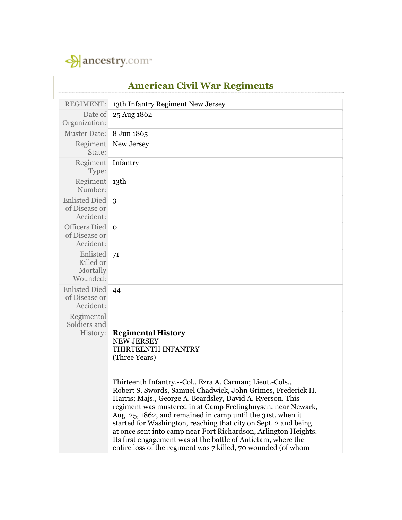

| <b>American Civil War Regiments</b>                |                                                                                                                                                                                                                                                                                                                                                                                                                                                                                                                                                                                                |
|----------------------------------------------------|------------------------------------------------------------------------------------------------------------------------------------------------------------------------------------------------------------------------------------------------------------------------------------------------------------------------------------------------------------------------------------------------------------------------------------------------------------------------------------------------------------------------------------------------------------------------------------------------|
| <b>REGIMENT:</b>                                   | 13th Infantry Regiment New Jersey                                                                                                                                                                                                                                                                                                                                                                                                                                                                                                                                                              |
| Date of<br>Organization:                           | 25 Aug 1862                                                                                                                                                                                                                                                                                                                                                                                                                                                                                                                                                                                    |
| <b>Muster Date:</b>                                | 8 Jun 1865                                                                                                                                                                                                                                                                                                                                                                                                                                                                                                                                                                                     |
| Regiment<br>State:                                 | New Jersey                                                                                                                                                                                                                                                                                                                                                                                                                                                                                                                                                                                     |
| Regiment<br>Type:                                  | Infantry                                                                                                                                                                                                                                                                                                                                                                                                                                                                                                                                                                                       |
| Regiment 13th<br>Number:                           |                                                                                                                                                                                                                                                                                                                                                                                                                                                                                                                                                                                                |
| Enlisted Died 3<br>of Disease or<br>Accident:      |                                                                                                                                                                                                                                                                                                                                                                                                                                                                                                                                                                                                |
| Officers Died o<br>of Disease or<br>Accident:      |                                                                                                                                                                                                                                                                                                                                                                                                                                                                                                                                                                                                |
| Enlisted<br>Killed or<br>Mortally<br>Wounded:      | 71                                                                                                                                                                                                                                                                                                                                                                                                                                                                                                                                                                                             |
| <b>Enlisted Died</b><br>of Disease or<br>Accident: | 44                                                                                                                                                                                                                                                                                                                                                                                                                                                                                                                                                                                             |
| Regimental<br>Soldiers and<br>History:             | <b>Regimental History</b><br><b>NEW JERSEY</b><br>THIRTEENTH INFANTRY<br>(Three Years)                                                                                                                                                                                                                                                                                                                                                                                                                                                                                                         |
|                                                    | Thirteenth Infantry.--Col., Ezra A. Carman; Lieut.-Cols.,<br>Robert S. Swords, Samuel Chadwick, John Grimes, Frederick H.<br>Harris; Majs., George A. Beardsley, David A. Ryerson. This<br>regiment was mustered in at Camp Frelinghuysen, near Newark,<br>Aug. 25, 1862, and remained in camp until the 31st, when it<br>started for Washington, reaching that city on Sept. 2 and being<br>at once sent into camp near Fort Richardson, Arlington Heights.<br>Its first engagement was at the battle of Antietam, where the<br>entire loss of the regiment was 7 killed, 70 wounded (of whom |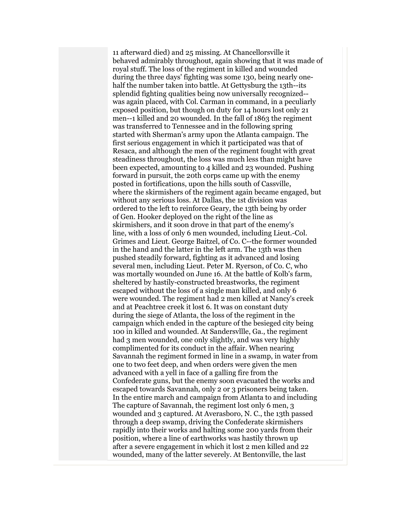11 afterward died) and 25 missing. At Chancellorsville it behaved admirably throughout, again showing that it was made of royal stuff. The loss of the regiment in killed and wounded during the three days' fighting was some 130, being nearly onehalf the number taken into battle. At Gettysburg the 13th--its splendid fighting qualities being now universally recognized- was again placed, with Col. Carman in command, in a peculiarly exposed position, but though on duty for 14 hours lost only 21 men--1 killed and 20 wounded. In the fall of 1863 the regiment was transferred to Tennessee and in the following spring started with Sherman's army upon the Atlanta campaign. The first serious engagement in which it participated was that of Resaca, and although the men of the regiment fought with great steadiness throughout, the loss was much less than might have been expected, amounting to 4 killed and 23 wounded. Pushing forward in pursuit, the 20th corps came up with the enemy posted in fortifications, upon the hills south of Cassville, where the skirmishers of the regiment again became engaged, but without any serious loss. At Dallas, the 1st division was ordered to the left to reinforce Geary, the 13th being by order of Gen. Hooker deployed on the right of the line as skirmishers, and it soon drove in that part of the enemy's line, with a loss of only 6 men wounded, including Lieut.-Col. Grimes and Lieut. George Baitzel, of Co. C--the former wounded in the hand and the latter in the left arm. The 13th was then pushed steadily forward, fighting as it advanced and losing several men, including Lieut. Peter M. Ryerson, of Co. C, who was mortally wounded on June 16. At the battle of Kolb's farm, sheltered by hastily-constructed breastworks, the regiment escaped without the loss of a single man killed, and only 6 were wounded. The regiment had 2 men killed at Nancy's creek and at Peachtree creek it lost 6. It was on constant duty during the siege of Atlanta, the loss of the regiment in the campaign which ended in the capture of the besieged city being 100 in killed and wounded. At Sandersvllle, Ga., the regiment had 3 men wounded, one only slightly, and was very highly complimented for its conduct in the affair. When nearing Savannah the regiment formed in line in a swamp, in water from one to two feet deep, and when orders were given the men advanced with a yell in face of a galling fire from the Confederate guns, but the enemy soon evacuated the works and escaped towards Savannah, only 2 or 3 prisoners being taken. In the entire march and campaign from Atlanta to and including The capture of Savannah, the regiment lost only 6 men, 3 wounded and 3 captured. At Averasboro, N. C., the 13th passed through a deep swamp, driving the Confederate skirmishers rapidly into their works and halting some 200 yards from their position, where a line of earthworks was hastily thrown up after a severe engagement in which it lost 2 men killed and 22 wounded, many of the latter severely. At Bentonville, the last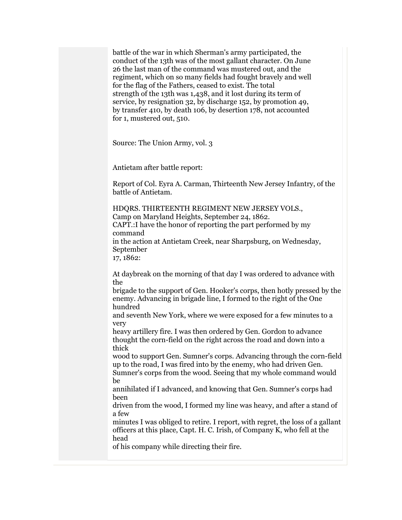battle of the war in which Sherman's army participated, the conduct of the 13th was of the most gallant character. On June 26 the last man of the command was mustered out, and the regiment, which on so many fields had fought bravely and well for the flag of the Fathers, ceased to exist. The total strength of the 13th was 1,438, and it lost during its term of service, by resignation 32, by discharge 152, by promotion 49, by transfer 410, by death 106, by desertion 178, not accounted for 1, mustered out, 510.

Source: The Union Army, vol. 3

Antietam after battle report:

Report of Col. Eyra A. Carman, Thirteenth New Jersey Infantry, of the battle of Antietam.

HDQRS. THIRTEENTH REGIMENT NEW JERSEY VOLS., Camp on Maryland Heights, September 24, 1862. CAPT.:I have the honor of reporting the part performed by my command in the action at Antietam Creek, near Sharpsburg, on Wednesday, September 17, 1862:

At daybreak on the morning of that day I was ordered to advance with the

brigade to the support of Gen. Hooker's corps, then hotly pressed by the enemy. Advancing in brigade line, I formed to the right of the One hundred

and seventh New York, where we were exposed for a few minutes to a very

heavy artillery fire. I was then ordered by Gen. Gordon to advance thought the corn-field on the right across the road and down into a thick

wood to support Gen. Sumner's corps. Advancing through the corn-field up to the road, I was fired into by the enemy, who had driven Gen.

Sumner's corps from the wood. Seeing that my whole command would be

annihilated if I advanced, and knowing that Gen. Sumner's corps had been

driven from the wood, I formed my line was heavy, and after a stand of a few

minutes I was obliged to retire. I report, with regret, the loss of a gallant officers at this place, Capt. H. C. Irish, of Company K, who fell at the head

of his company while directing their fire.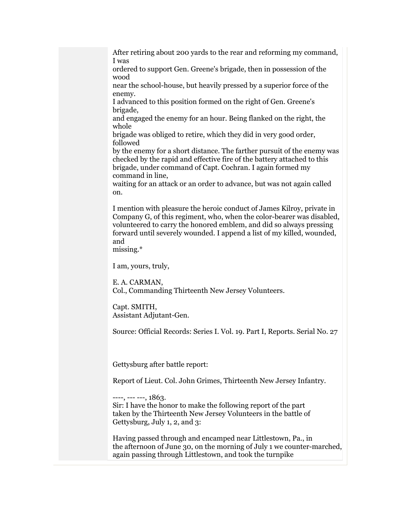After retiring about 200 yards to the rear and reforming my command, I was

ordered to support Gen. Greene's brigade, then in possession of the wood

near the school-house, but heavily pressed by a superior force of the enemy.

I advanced to this position formed on the right of Gen. Greene's brigade,

and engaged the enemy for an hour. Being flanked on the right, the whole

brigade was obliged to retire, which they did in very good order, followed

by the enemy for a short distance. The farther pursuit of the enemy was checked by the rapid and effective fire of the battery attached to this brigade, under command of Capt. Cochran. I again formed my command in line,

waiting for an attack or an order to advance, but was not again called on.

I mention with pleasure the heroic conduct of James Kilroy, private in Company G, of this regiment, who, when the color-bearer was disabled, volunteered to carry the honored emblem, and did so always pressing forward until severely wounded. I append a list of my killed, wounded, and

missing.\*

I am, yours, truly,

E. A. CARMAN, Col., Commanding Thirteenth New Jersey Volunteers.

Capt. SMITH, Assistant Adjutant-Gen.

Source: Official Records: Series I. Vol. 19. Part I, Reports. Serial No. 27

Gettysburg after battle report:

Report of Lieut. Col. John Grimes, Thirteenth New Jersey Infantry.

----, --- ---, 1863.

Sir: I have the honor to make the following report of the part taken by the Thirteenth New Jersey Volunteers in the battle of Gettysburg, July 1, 2, and 3:

Having passed through and encamped near Littlestown, Pa., in the afternoon of June 30, on the morning of July 1 we counter-marched, again passing through Littlestown, and took the turnpike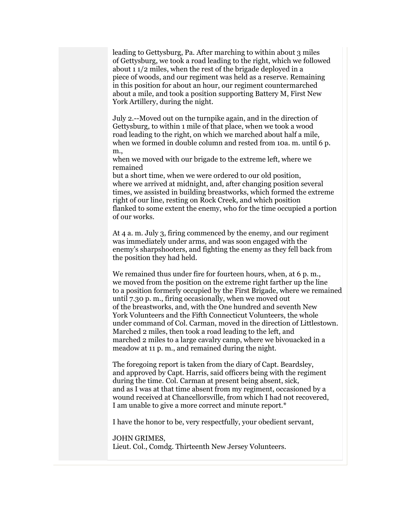leading to Gettysburg, Pa. After marching to within about 3 miles of Gettysburg, we took a road leading to the right, which we followed about 1 1/2 miles, when the rest of the brigade deployed in a piece of woods, and our regiment was held as a reserve. Remaining in this position for about an hour, our regiment countermarched about a mile, and took a position supporting Battery M, First New York Artillery, during the night.

July 2.--Moved out on the turnpike again, and in the direction of Gettysburg, to within 1 mile of that place, when we took a wood road leading to the right, on which we marched about half a mile, when we formed in double column and rested from 10a. m. until 6 p. m.,

when we moved with our brigade to the extreme left, where we remained

but a short time, when we were ordered to our old position, where we arrived at midnight, and, after changing position several times, we assisted in building breastworks, which formed the extreme right of our line, resting on Rock Creek, and which position flanked to some extent the enemy, who for the time occupied a portion of our works.

At 4 a. m. July 3, firing commenced by the enemy, and our regiment was immediately under arms, and was soon engaged with the enemy's sharpshooters, and fighting the enemy as they fell back from the position they had held.

We remained thus under fire for fourteen hours, when, at 6 p.m., we moved from the position on the extreme right farther up the line to a position formerly occupied by the First Brigade, where we remained until 7.30 p. m., firing occasionally, when we moved out of the breastworks, and, with the One hundred and seventh New York Volunteers and the Fifth Connecticut Volunteers, the whole under command of Col. Carman, moved in the direction of Littlestown. Marched 2 miles, then took a road leading to the left, and marched 2 miles to a large cavalry camp, where we bivouacked in a meadow at 11 p. m., and remained during the night.

The foregoing report is taken from the diary of Capt. Beardsley, and approved by Capt. Harris, said officers being with the regiment during the time. Col. Carman at present being absent, sick, and as I was at that time absent from my regiment, occasioned by a wound received at Chancellorsville, from which I had not recovered, I am unable to give a more correct and minute report.\*

I have the honor to be, very respectfully, your obedient servant,

JOHN GRIMES, Lieut. Col., Comdg. Thirteenth New Jersey Volunteers.